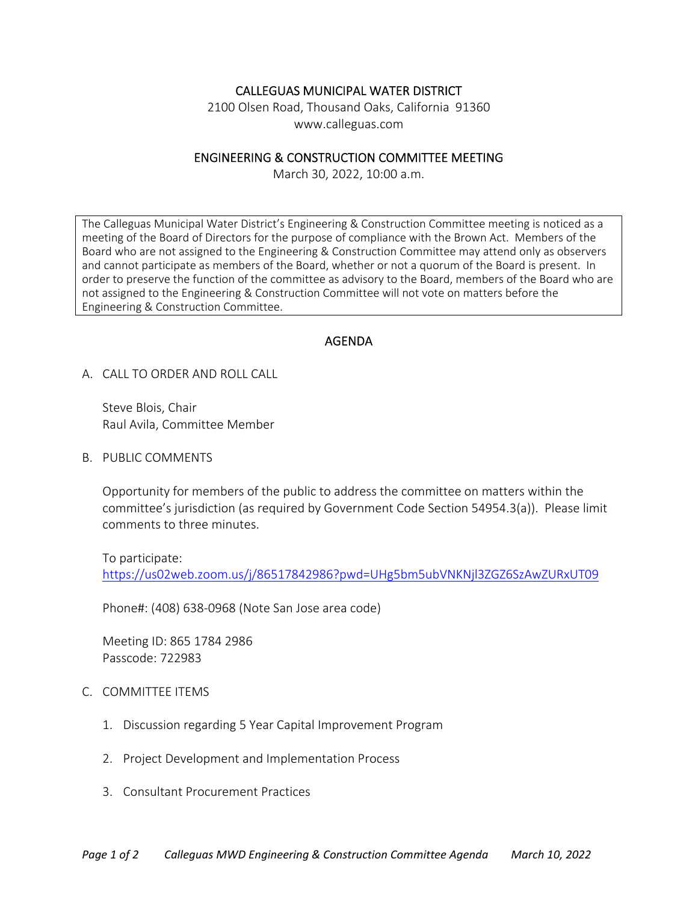## CALLEGUAS MUNICIPAL WATER DISTRICT

2100 Olsen Road, Thousand Oaks, California 91360 www.calleguas.com

## ENGINEERING & CONSTRUCTION COMMITTEE MEETING

March 30, 2022, 10:00 a.m.

The Calleguas Municipal Water District's Engineering & Construction Committee meeting is noticed as a meeting of the Board of Directors for the purpose of compliance with the Brown Act. Members of the Board who are not assigned to the Engineering & Construction Committee may attend only as observers and cannot participate as members of the Board, whether or not a quorum of the Board is present. In order to preserve the function of the committee as advisory to the Board, members of the Board who are not assigned to the Engineering & Construction Committee will not vote on matters before the Engineering & Construction Committee.

## AGENDA

A. CALL TO ORDER AND ROLL CALL

 Steve Blois, Chair Raul Avila, Committee Member

B. PUBLIC COMMENTS

Opportunity for members of the public to address the committee on matters within the committee's jurisdiction (as required by Government Code Section 54954.3(a)). Please limit comments to three minutes.

To participate:

https://us02web.zoom.us/j/86517842986?pwd=UHg5bm5ubVNKNjl3ZGZ6SzAwZURxUT09

Phone#: (408) 638‐0968 (Note San Jose area code)

Meeting ID: 865 1784 2986 Passcode: 722983

## C. COMMITTEE ITEMS

- 1. Discussion regarding 5 Year Capital Improvement Program
- 2. Project Development and Implementation Process
- 3. Consultant Procurement Practices